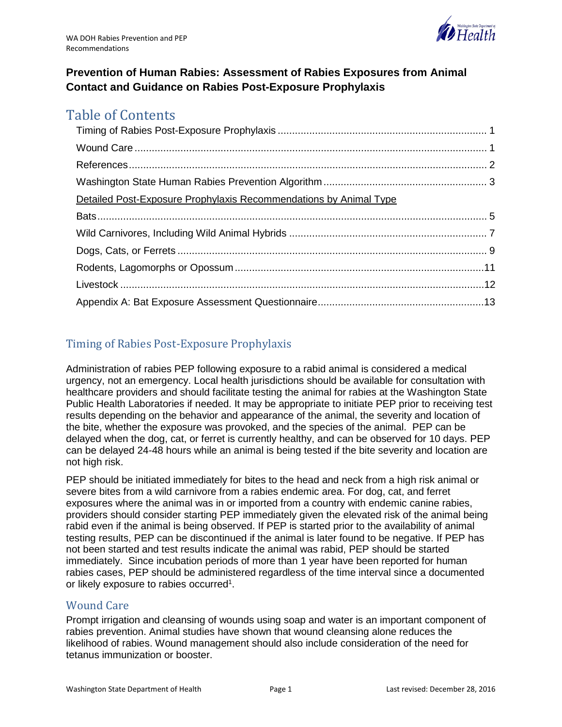

## **Prevention of Human Rabies: Assessment of Rabies Exposures from Animal Contact and Guidance on Rabies Post-Exposure Prophylaxis**

# Table of Contents

| Detailed Post-Exposure Prophylaxis Recommendations by Animal Type |  |
|-------------------------------------------------------------------|--|
|                                                                   |  |
|                                                                   |  |
|                                                                   |  |
|                                                                   |  |
|                                                                   |  |
|                                                                   |  |

# <span id="page-0-0"></span>Timing of Rabies Post-Exposure Prophylaxis

Administration of rabies PEP following exposure to a rabid animal is considered a medical urgency, not an emergency. Local health jurisdictions should be available for consultation with healthcare providers and should facilitate testing the animal for rabies at the Washington State Public Health Laboratories if needed. It may be appropriate to initiate PEP prior to receiving test results depending on the behavior and appearance of the animal, the severity and location of the bite, whether the exposure was provoked, and the species of the animal. PEP can be delayed when the dog, cat, or ferret is currently healthy, and can be observed for 10 days. PEP can be delayed 24-48 hours while an animal is being tested if the bite severity and location are not high risk.

PEP should be initiated immediately for bites to the head and neck from a high risk animal or severe bites from a wild carnivore from a rabies endemic area. For dog, cat, and ferret exposures where the animal was in or imported from a country with endemic canine rabies, providers should consider starting PEP immediately given the elevated risk of the animal being rabid even if the animal is being observed. If PEP is started prior to the availability of animal testing results, PEP can be discontinued if the animal is later found to be negative. If PEP has not been started and test results indicate the animal was rabid, PEP should be started immediately. Since incubation periods of more than 1 year have been reported for human rabies cases, PEP should be administered regardless of the time interval since a documented or likely exposure to rabies occurred<sup>1</sup>.

## <span id="page-0-1"></span>Wound Care

Prompt irrigation and cleansing of wounds using soap and water is an important component of rabies prevention. Animal studies have shown that wound cleansing alone reduces the likelihood of rabies. Wound management should also include consideration of the need for tetanus immunization or booster.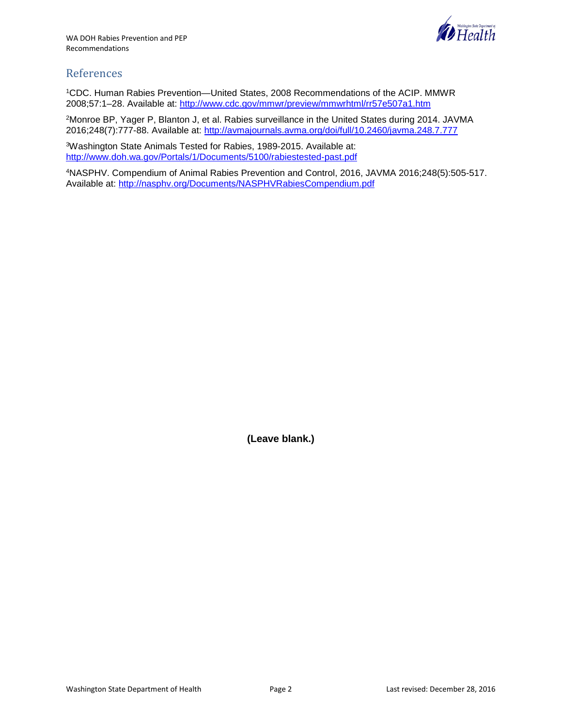

## <span id="page-1-0"></span>References

1CDC. Human Rabies Prevention—United States, 2008 Recommendations of the ACIP. MMWR 2008;57:1–28. Available at:<http://www.cdc.gov/mmwr/preview/mmwrhtml/rr57e507a1.htm>

2Monroe BP, Yager P, Blanton J, et al. Rabies surveillance in the United States during 2014. JAVMA 2016;248(7):777-88. Available at:<http://avmajournals.avma.org/doi/full/10.2460/javma.248.7.777>

3Washington State Animals Tested for Rabies, 1989-2015. Available at: <http://www.doh.wa.gov/Portals/1/Documents/5100/rabiestested-past.pdf>

4NASPHV. Compendium of Animal Rabies Prevention and Control, 2016, JAVMA 2016;248(5):505-517. Available at:<http://nasphv.org/Documents/NASPHVRabiesCompendium.pdf>

**(Leave blank.)**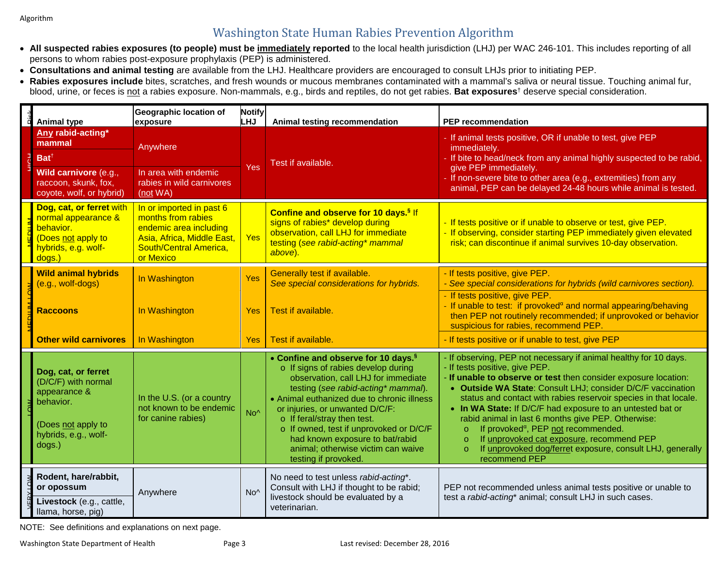# Washington State Human Rabies Prevention Algorithm

- **All suspected rabies exposures (to people) must be immediately reported** to the local health jurisdiction (LHJ) per WAC 246-101. This includes reporting of all persons to whom rabies post-exposure prophylaxis (PEP) is administered.
- **Consultations and animal testing** are available from the LHJ. Healthcare providers are encouraged to consult LHJs prior to initiating PEP.
- **Rabies exposures include** bites, scratches, and fresh wounds or mucous membranes contaminated with a mammal's saliva or neural tissue. Touching animal fur, blood, urine, or feces is not a rabies exposure. Non-mammals, e.g., birds and reptiles, do not get rabies. **Bat exposures**† deserve special consideration.

<span id="page-2-0"></span>

| <b>Animal type</b>                                                                                                                           | <b>Geographic location of</b><br>exposure                                                                                                     | <b>Notify</b><br><b>LHJ</b> | Animal testing recommendation                                                                                                                                                                                                                                                                                                                                                                                                    | <b>PEP</b> recommendation                                                                                                                                                                                                                                                                                                                                                                                                                                                                                                                                                                                                                   |  |
|----------------------------------------------------------------------------------------------------------------------------------------------|-----------------------------------------------------------------------------------------------------------------------------------------------|-----------------------------|----------------------------------------------------------------------------------------------------------------------------------------------------------------------------------------------------------------------------------------------------------------------------------------------------------------------------------------------------------------------------------------------------------------------------------|---------------------------------------------------------------------------------------------------------------------------------------------------------------------------------------------------------------------------------------------------------------------------------------------------------------------------------------------------------------------------------------------------------------------------------------------------------------------------------------------------------------------------------------------------------------------------------------------------------------------------------------------|--|
| Any rabid-acting*<br>mammal<br>$Bat^{\dagger}$                                                                                               | Anywhere                                                                                                                                      | Yes                         | Test if available.                                                                                                                                                                                                                                                                                                                                                                                                               | - If animal tests positive, OR if unable to test, give PEP<br>immediately.<br>- If bite to head/neck from any animal highly suspected to be rabid,                                                                                                                                                                                                                                                                                                                                                                                                                                                                                          |  |
| Wild carnivore (e.g.,<br>raccoon, skunk, fox,<br>coyote, wolf, or hybrid)                                                                    | In area with endemic<br>rabies in wild carnivores<br>(not WA)                                                                                 |                             |                                                                                                                                                                                                                                                                                                                                                                                                                                  | give PEP immediately.<br>If non-severe bite to other area (e.g., extremities) from any<br>animal, PEP can be delayed 24-48 hours while animal is tested.                                                                                                                                                                                                                                                                                                                                                                                                                                                                                    |  |
| Dog, cat, or ferret with<br>normal appearance &<br>behavior.<br>(Does not apply to<br>hybrids, e.g. wolf-<br>dogs.)                          | In or imported in past 6<br>months from rabies<br>endemic area including<br>Asia, Africa, Middle East,<br>South/Central America,<br>or Mexico | Yes                         | Confine and observe for 10 days. <sup>§</sup> If<br>signs of rabies* develop during<br>observation, call LHJ for immediate<br>testing (see rabid-acting* mammal<br>above).                                                                                                                                                                                                                                                       | - If tests positive or if unable to observe or test, give PEP.<br>- If observing, consider starting PEP immediately given elevated<br>risk; can discontinue if animal survives 10-day observation.                                                                                                                                                                                                                                                                                                                                                                                                                                          |  |
| <b>Wild animal hybrids</b><br>(e.g., wolf-dogs)                                                                                              | In Washington                                                                                                                                 | Yes                         | Generally test if available.<br>See special considerations for hybrids.                                                                                                                                                                                                                                                                                                                                                          | - If tests positive, give PEP.<br>- See special considerations for hybrids (wild carnivores section).                                                                                                                                                                                                                                                                                                                                                                                                                                                                                                                                       |  |
| <b>Raccoons</b>                                                                                                                              | In Washington                                                                                                                                 | Yes                         | Test if available.                                                                                                                                                                                                                                                                                                                                                                                                               | - If tests positive, give PEP.<br>- If unable to test: if provoked $a$ and normal appearing/behaving<br>then PEP not routinely recommended; if unprovoked or behavior<br>suspicious for rabies, recommend PEP.                                                                                                                                                                                                                                                                                                                                                                                                                              |  |
| <b>Other wild carnivores</b>                                                                                                                 | In Washington                                                                                                                                 | <b>Yes</b>                  | Test if available.                                                                                                                                                                                                                                                                                                                                                                                                               | - If tests positive or if unable to test, give PEP                                                                                                                                                                                                                                                                                                                                                                                                                                                                                                                                                                                          |  |
| Dog, cat, or ferret<br>(D/C/F) with normal<br>appearance &<br>behavior.<br>(Does not apply to<br>hybrids, e.g., wolf-<br>dogs.)              | In the U.S. (or a country<br>not known to be endemic<br>for canine rabies)                                                                    | No <sup>^</sup>             | • Confine and observe for 10 days. <sup>§</sup><br>o If signs of rabies develop during<br>observation, call LHJ for immediate<br>testing (see rabid-acting* mammal).<br>• Animal euthanized due to chronic illness<br>or injuries, or unwanted D/C/F:<br>o If feral/stray then test.<br>o If owned, test if unprovoked or D/C/F<br>had known exposure to bat/rabid<br>animal; otherwise victim can waive<br>testing if provoked. | - If observing, PEP not necessary if animal healthy for 10 days.<br>- If tests positive, give PEP.<br>- If unable to observe or test then consider exposure location:<br>• Outside WA State: Consult LHJ; consider D/C/F vaccination<br>status and contact with rabies reservoir species in that locale.<br>• In WA State: If D/C/F had exposure to an untested bat or<br>rabid animal in last 6 months give PEP. Otherwise:<br>If provoked <sup>a</sup> , PEP not recommended.<br>$\circ$<br>If unprovoked cat exposure, recommend PEP<br>$\circ$<br>If unprovoked dog/ferret exposure, consult LHJ, generally<br>$\circ$<br>recommend PEP |  |
| Rodent, hare/rabbit,<br>or opossum<br>Livestock (e.g., cattle,<br>llama, horse, pig)<br>NOTE: See definitions and explanations on next page. | Anywhere                                                                                                                                      | $No^$                       | No need to test unless rabid-acting*.<br>Consult with LHJ if thought to be rabid;<br>livestock should be evaluated by a<br>veterinarian.                                                                                                                                                                                                                                                                                         | PEP not recommended unless animal tests positive or unable to<br>test a rabid-acting* animal; consult LHJ in such cases.                                                                                                                                                                                                                                                                                                                                                                                                                                                                                                                    |  |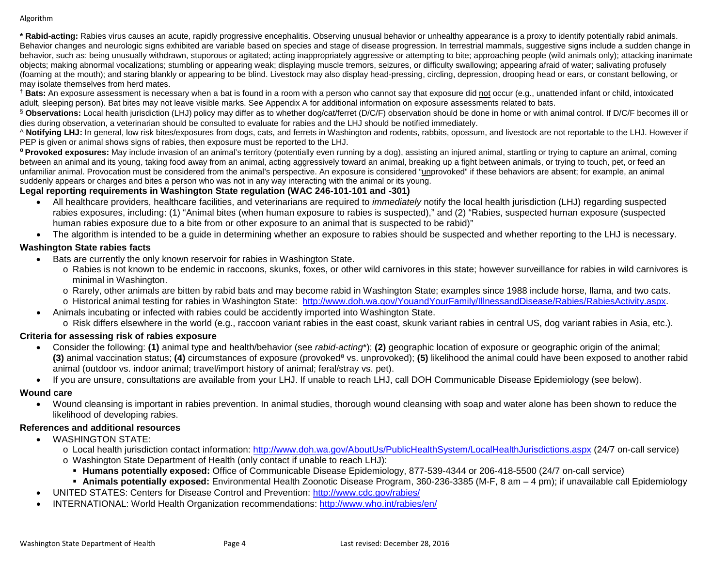Algorithm

**\* Rabid-acting:** Rabies virus causes an acute, rapidly progressive encephalitis. Observing unusual behavior or unhealthy appearance is a proxy to identify potentially rabid animals. Behavior changes and neurologic signs exhibited are variable based on species and stage of disease progression. In terrestrial mammals, suggestive signs include a sudden change in behavior, such as: being unusually withdrawn, stuporous or agitated; acting inappropriately aggressive or attempting to bite; approaching people (wild animals only); attacking inanimate objects; making abnormal vocalizations; stumbling or appearing weak; displaying muscle tremors, seizures, or difficulty swallowing; appearing afraid of water; salivating profusely (foaming at the mouth); and staring blankly or appearing to be blind. Livestock may also display head-pressing, circling, depression, drooping head or ears, or constant bellowing, or may isolate themselves from herd mates.

**† Bats:** An exposure assessment is necessary when a bat is found in a room with a person who cannot say that exposure did not occur (e.g., unattended infant or child, intoxicated adult, sleeping person). Bat bites may not leave visible marks. See Appendix A for additional information on exposure assessments related to bats.

§ **Observations:** Local health jurisdiction (LHJ) policy may differ as to whether dog/cat/ferret (D/C/F) observation should be done in home or with animal control. If D/C/F becomes ill or dies during observation, a veterinarian should be consulted to evaluate for rabies and the LHJ should be notified immediately.

^ **Notifying LHJ:** In general, low risk bites/exposures from dogs, cats, and ferrets in Washington and rodents, rabbits, opossum, and livestock are not reportable to the LHJ. However if PEP is given or animal shows signs of rabies, then exposure must be reported to the LHJ.

**<sup>α</sup> Provoked exposures:** May include invasion of an animal's territory (potentially even running by a dog), assisting an injured animal, startling or trying to capture an animal, coming between an animal and its young, taking food away from an animal, acting aggressively toward an animal, breaking up a fight between animals, or trying to touch, pet, or feed an unfamiliar animal. Provocation must be considered from the animal's perspective. An exposure is considered "unprovoked" if these behaviors are absent; for example, an animal suddenly appears or charges and bites a person who was not in any way interacting with the animal or its young.

#### **Legal reporting requirements in Washington State regulation (WAC 246-101-101 and -301)**

- All healthcare providers, healthcare facilities, and veterinarians are required to *immediately* notify the local health jurisdiction (LHJ) regarding suspected rabies exposures, including: (1) "Animal bites (when human exposure to rabies is suspected)," and (2) "Rabies, suspected human exposure (suspected human rabies exposure due to a bite from or other exposure to an animal that is suspected to be rabid)"
- The algorithm is intended to be a guide in determining whether an exposure to rabies should be suspected and whether reporting to the LHJ is necessary.

#### **Washington State rabies facts**

- Bats are currently the only known reservoir for rabies in Washington State.
	- o Rabies is not known to be endemic in raccoons, skunks, foxes, or other wild carnivores in this state; however surveillance for rabies in wild carnivores is minimal in Washington.
	- o Rarely, other animals are bitten by rabid bats and may become rabid in Washington State; examples since 1988 include horse, llama, and two cats.
	- o Historical animal testing for rabies in Washington State: [http://www.doh.wa.gov/YouandYourFamily/IllnessandDisease/Rabies/RabiesActivity.aspx.](http://www.doh.wa.gov/YouandYourFamily/IllnessandDisease/Rabies/RabiesActivity.aspx)
- Animals incubating or infected with rabies could be accidently imported into Washington State. o Risk differs elsewhere in the world (e.g., raccoon variant rabies in the east coast, skunk variant rabies in central US, dog variant rabies in Asia, etc.).

### **Criteria for assessing risk of rabies exposure**

- Consider the following: **(1)** animal type and health/behavior (see *rabid-acting*\*); **(2)** geographic location of exposure or geographic origin of the animal; **(3)** animal vaccination status; **(4)** circumstances of exposure (provoked<sup>a</sup> vs. unprovoked); **(5)** likelihood the animal could have been exposed to another rabid animal (outdoor vs. indoor animal; travel/import history of animal; feral/stray vs. pet).
- If you are unsure, consultations are available from your LHJ. If unable to reach LHJ, call DOH Communicable Disease Epidemiology (see below).

### **Wound care**

• Wound cleansing is important in rabies prevention. In animal studies, thorough wound cleansing with soap and water alone has been shown to reduce the likelihood of developing rabies.

## **References and additional resources**

- WASHINGTON STATE:
	- o Local health jurisdiction contact information:<http://www.doh.wa.gov/AboutUs/PublicHealthSystem/LocalHealthJurisdictions.aspx> (24/7 on-call service)
	- o Washington State Department of Health (only contact if unable to reach LHJ):
		- **Humans potentially exposed:** Office of Communicable Disease Epidemiology, 877-539-4344 or 206-418-5500 (24/7 on-call service)
	- **Animals potentially exposed:** Environmental Health Zoonotic Disease Program, 360-236-3385 (M-F, 8 am 4 pm); if unavailable call Epidemiology
- UNITED STATES: Centers for Disease Control and Prevention:<http://www.cdc.gov/rabies/>
- INTERNATIONAL: World Health Organization recommendations:<http://www.who.int/rabies/en/>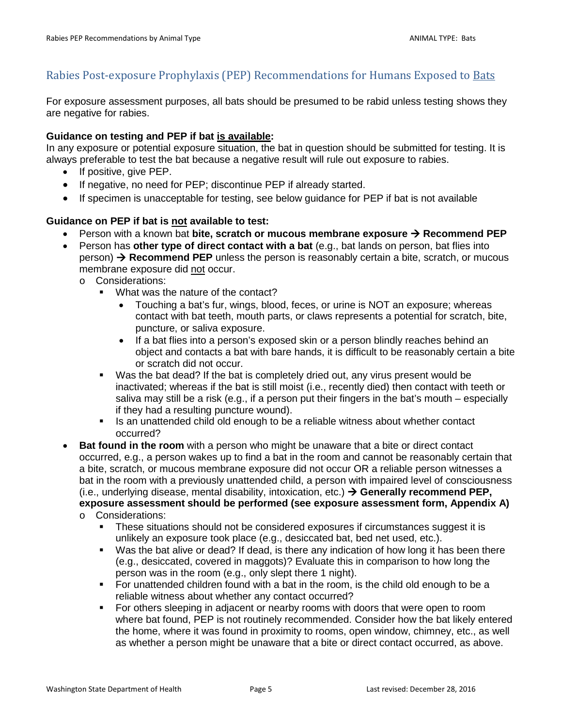## <span id="page-4-0"></span>Rabies Post-exposure Prophylaxis (PEP) Recommendations for Humans Exposed to Bats

For exposure assessment purposes, all bats should be presumed to be rabid unless testing shows they are negative for rabies.

#### **Guidance on testing and PEP if bat is available:**

In any exposure or potential exposure situation, the bat in question should be submitted for testing. It is always preferable to test the bat because a negative result will rule out exposure to rabies.

- If positive, give PEP.
- If negative, no need for PEP; discontinue PEP if already started.
- If specimen is unacceptable for testing, see below guidance for PEP if bat is not available

#### **Guidance on PEP if bat is not available to test:**

- Person with a known bat **bite, scratch or mucous membrane exposure**  $\rightarrow$  Recommend PEP
- Person has **other type of direct contact with a bat** (e.g., bat lands on person, bat flies into person) **Recommend PEP** unless the person is reasonably certain a bite, scratch, or mucous membrane exposure did not occur.
	- o Considerations:
		- **What was the nature of the contact?** 
			- Touching a bat's fur, wings, blood, feces, or urine is NOT an exposure; whereas contact with bat teeth, mouth parts, or claws represents a potential for scratch, bite, puncture, or saliva exposure.
			- If a bat flies into a person's exposed skin or a person blindly reaches behind an object and contacts a bat with bare hands, it is difficult to be reasonably certain a bite or scratch did not occur.
		- Was the bat dead? If the bat is completely dried out, any virus present would be inactivated; whereas if the bat is still moist (i.e., recently died) then contact with teeth or saliva may still be a risk (e.g., if a person put their fingers in the bat's mouth – especially if they had a resulting puncture wound).
		- Is an unattended child old enough to be a reliable witness about whether contact occurred?
- **Bat found in the room** with a person who might be unaware that a bite or direct contact occurred, e.g., a person wakes up to find a bat in the room and cannot be reasonably certain that a bite, scratch, or mucous membrane exposure did not occur OR a reliable person witnesses a bat in the room with a previously unattended child, a person with impaired level of consciousness (i.e., underlying disease, mental disability, intoxication, etc.) **Generally recommend PEP, exposure assessment should be performed (see exposure assessment form, Appendix A)** o Considerations:
	- These situations should not be considered exposures if circumstances suggest it is unlikely an exposure took place (e.g., desiccated bat, bed net used, etc.).
	- Was the bat alive or dead? If dead, is there any indication of how long it has been there (e.g., desiccated, covered in maggots)? Evaluate this in comparison to how long the person was in the room (e.g., only slept there 1 night).
	- For unattended children found with a bat in the room, is the child old enough to be a reliable witness about whether any contact occurred?
	- For others sleeping in adjacent or nearby rooms with doors that were open to room where bat found, PEP is not routinely recommended. Consider how the bat likely entered the home, where it was found in proximity to rooms, open window, chimney, etc., as well as whether a person might be unaware that a bite or direct contact occurred, as above.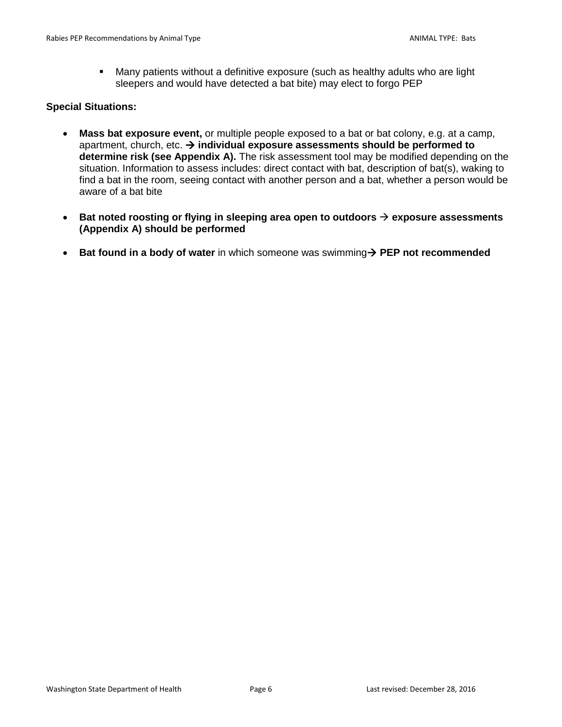Many patients without a definitive exposure (such as healthy adults who are light sleepers and would have detected a bat bite) may elect to forgo PEP

#### **Special Situations:**

- **Mass bat exposure event,** or multiple people exposed to a bat or bat colony, e.g. at a camp, apartment, church, etc. → individual exposure assessments should be performed to **determine risk (see Appendix A).** The risk assessment tool may be modified depending on the situation. Information to assess includes: direct contact with bat, description of bat(s), waking to find a bat in the room, seeing contact with another person and a bat, whether a person would be aware of a bat bite
- **Bat noted roosting or flying in sleeping area open to outdoors exposure assessments (Appendix A) should be performed**
- **Bat found in a body of water** in which someone was swimming  $\rightarrow$  PEP not recommended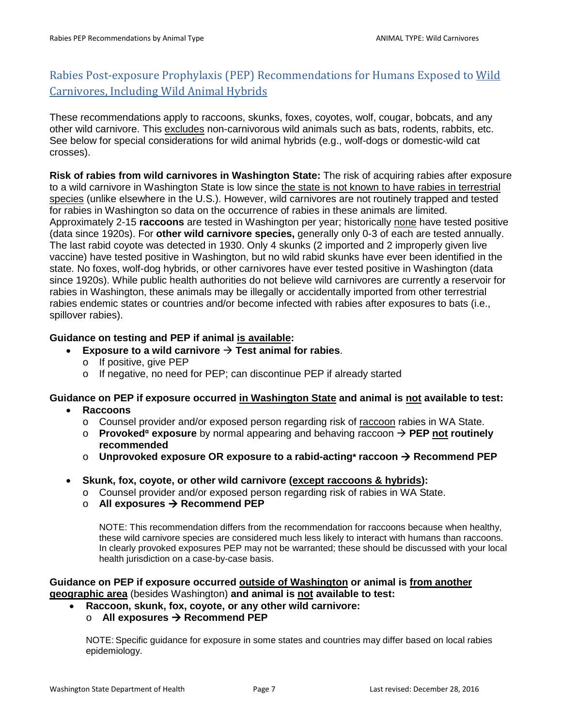# <span id="page-6-0"></span>Rabies Post-exposure Prophylaxis (PEP) Recommendations for Humans Exposed to Wild Carnivores, Including Wild Animal Hybrids

These recommendations apply to raccoons, skunks, foxes, coyotes, wolf, cougar, bobcats, and any other wild carnivore. This excludes non-carnivorous wild animals such as bats, rodents, rabbits, etc. See below for special considerations for wild animal hybrids (e.g., wolf-dogs or domestic-wild cat crosses).

**Risk of rabies from wild carnivores in Washington State:** The risk of acquiring rabies after exposure to a wild carnivore in Washington State is low since the state is not known to have rabies in terrestrial species (unlike elsewhere in the U.S.). However, wild carnivores are not routinely trapped and tested for rabies in Washington so data on the occurrence of rabies in these animals are limited. Approximately 2-15 **raccoons** are tested in Washington per year; historically none have tested positive (data since 1920s). For **other wild carnivore species,** generally only 0-3 of each are tested annually. The last rabid coyote was detected in 1930. Only 4 skunks (2 imported and 2 improperly given live vaccine) have tested positive in Washington, but no wild rabid skunks have ever been identified in the state. No foxes, wolf-dog hybrids, or other carnivores have ever tested positive in Washington (data since 1920s). While public health authorities do not believe wild carnivores are currently a reservoir for rabies in Washington, these animals may be illegally or accidentally imported from other terrestrial rabies endemic states or countries and/or become infected with rabies after exposures to bats (i.e., spillover rabies).

### **Guidance on testing and PEP if animal is available:**

- **Exposure to a wild carnivore Test animal for rabies**.
	- o If positive, give PEP
	- o If negative, no need for PEP; can discontinue PEP if already started

## **Guidance on PEP if exposure occurred in Washington State and animal is not available to test:**

- **Raccoons**
	- o Counsel provider and/or exposed person regarding risk of raccoon rabies in WA State.
	- o **Provoked<sup>α</sup> exposure** by normal appearing and behaving raccoon **PEP not routinely recommended**
	- o **Unprovoked exposure OR exposure to a rabid-acting\* raccoon Recommend PEP**
- **Skunk, fox, coyote, or other wild carnivore (except raccoons & hybrids):**
	- o Counsel provider and/or exposed person regarding risk of rabies in WA State.
	- **All exposures → Recommend PEP**

NOTE: This recommendation differs from the recommendation for raccoons because when healthy, these wild carnivore species are considered much less likely to interact with humans than raccoons. In clearly provoked exposures PEP may not be warranted; these should be discussed with your local health jurisdiction on a case-by-case basis.

**Guidance on PEP if exposure occurred outside of Washington or animal is from another geographic area** (besides Washington) **and animal is not available to test:**

• **Raccoon, skunk, fox, coyote, or any other wild carnivore:**

### o **All exposures Recommend PEP**

NOTE: Specific guidance for exposure in some states and countries may differ based on local rabies epidemiology.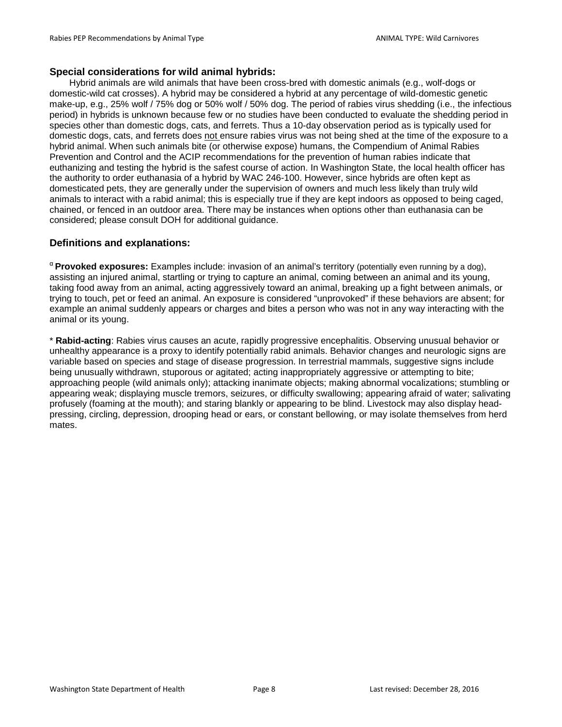#### **Special considerations for wild animal hybrids:**

Hybrid animals are wild animals that have been cross-bred with domestic animals (e.g., wolf-dogs or domestic-wild cat crosses). A hybrid may be considered a hybrid at any percentage of wild-domestic genetic make-up, e.g., 25% wolf / 75% dog or 50% wolf / 50% dog. The period of rabies virus shedding (i.e., the infectious period) in hybrids is unknown because few or no studies have been conducted to evaluate the shedding period in species other than domestic dogs, cats, and ferrets. Thus a 10-day observation period as is typically used for domestic dogs, cats, and ferrets does not ensure rabies virus was not being shed at the time of the exposure to a hybrid animal. When such animals bite (or otherwise expose) humans, the Compendium of Animal Rabies Prevention and Control and the ACIP recommendations for the prevention of human rabies indicate that euthanizing and testing the hybrid is the safest course of action. In Washington State, the local health officer has the authority to order euthanasia of a hybrid by WAC 246-100. However, since hybrids are often kept as domesticated pets, they are generally under the supervision of owners and much less likely than truly wild animals to interact with a rabid animal; this is especially true if they are kept indoors as opposed to being caged, chained, or fenced in an outdoor area. There may be instances when options other than euthanasia can be considered; please consult DOH for additional guidance.

#### **Definitions and explanations:**

<sup>α</sup>**Provoked exposures:** Examples include: invasion of an animal's territory (potentially even running by a dog), assisting an injured animal, startling or trying to capture an animal, coming between an animal and its young, taking food away from an animal, acting aggressively toward an animal, breaking up a fight between animals, or trying to touch, pet or feed an animal. An exposure is considered "unprovoked" if these behaviors are absent; for example an animal suddenly appears or charges and bites a person who was not in any way interacting with the animal or its young.

\* **Rabid-acting**: Rabies virus causes an acute, rapidly progressive encephalitis. Observing unusual behavior or unhealthy appearance is a proxy to identify potentially rabid animals. Behavior changes and neurologic signs are variable based on species and stage of disease progression. In terrestrial mammals, suggestive signs include being unusually withdrawn, stuporous or agitated; acting inappropriately aggressive or attempting to bite; approaching people (wild animals only); attacking inanimate objects; making abnormal vocalizations; stumbling or appearing weak; displaying muscle tremors, seizures, or difficulty swallowing; appearing afraid of water; salivating profusely (foaming at the mouth); and staring blankly or appearing to be blind. Livestock may also display headpressing, circling, depression, drooping head or ears, or constant bellowing, or may isolate themselves from herd mates.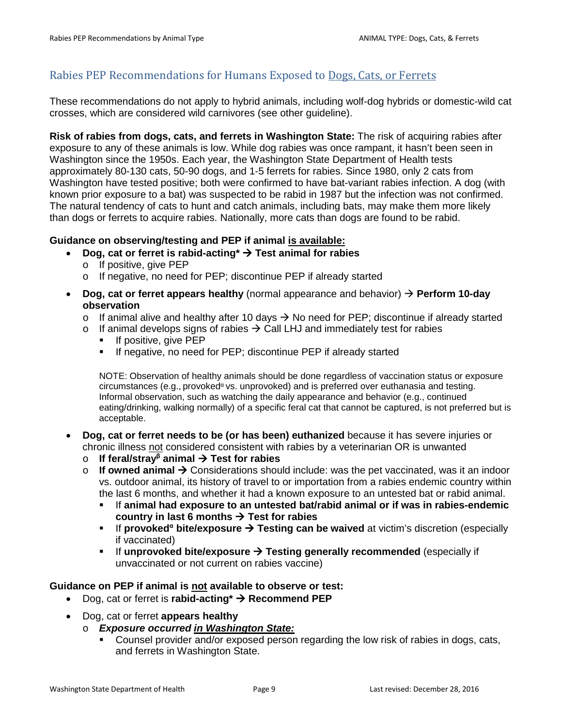## <span id="page-8-0"></span>Rabies PEP Recommendations for Humans Exposed to Dogs, Cats, or Ferrets

These recommendations do not apply to hybrid animals, including wolf-dog hybrids or domestic-wild cat crosses, which are considered wild carnivores (see other guideline).

**Risk of rabies from dogs, cats, and ferrets in Washington State:** The risk of acquiring rabies after exposure to any of these animals is low. While dog rabies was once rampant, it hasn't been seen in Washington since the 1950s. Each year, the Washington State Department of Health tests approximately 80-130 cats, 50-90 dogs, and 1-5 ferrets for rabies. Since 1980, only 2 cats from Washington have tested positive; both were confirmed to have bat-variant rabies infection. A dog (with known prior exposure to a bat) was suspected to be rabid in 1987 but the infection was not confirmed. The natural tendency of cats to hunt and catch animals, including bats, may make them more likely than dogs or ferrets to acquire rabies. Nationally, more cats than dogs are found to be rabid.

#### **Guidance on observing/testing and PEP if animal is available:**

- Dog, cat or ferret is rabid-acting\*  $\rightarrow$  Test animal for rabies
	- o If positive, give PEP
	- o If negative, no need for PEP; discontinue PEP if already started
- **Dog, cat or ferret appears healthy** (normal appearance and behavior) **Perform 10-day observation**
	- o If animal alive and healthy after 10 days  $\rightarrow$  No need for PEP; discontinue if already started
	- $\circ$  If animal develops signs of rabies  $\rightarrow$  Call LHJ and immediately test for rabies
		- **If positive, give PEP**
		- **If negative, no need for PEP; discontinue PEP if already started**

NOTE: Observation of healthy animals should be done regardless of vaccination status or exposure circumstances (e.g., provoked<sup> $\alpha$ </sup> vs. unprovoked) and is preferred over euthanasia and testing. Informal observation, such as watching the daily appearance and behavior (e.g., continued eating/drinking, walking normally) of a specific feral cat that cannot be captured, is not preferred but is acceptable.

- **Dog, cat or ferret needs to be (or has been) euthanized** because it has severe injuries or chronic illness not considered consistent with rabies by a veterinarian OR is unwanted
	- o **If feral/stray<sup>β</sup> animal Test for rabies**
	- $\circ$  **If owned animal**  $\rightarrow$  Considerations should include: was the pet vaccinated, was it an indoor vs. outdoor animal, its history of travel to or importation from a rabies endemic country within the last 6 months, and whether it had a known exposure to an untested bat or rabid animal.
		- If **animal had exposure to an untested bat/rabid animal or if was in rabies-endemic**  country in last 6 months  $\rightarrow$  Test for rabies
		- **■** If **provoked<sup>α</sup> bite/exposure → Testing can be waived** at victim's discretion (especially if vaccinated)
		- If unprovoked bite/exposure → Testing generally recommended (especially if unvaccinated or not current on rabies vaccine)

#### **Guidance on PEP if animal is not available to observe or test:**

- Dog, cat or ferret is **rabid-acting<sup>\*</sup> > Recommend PEP**
- Dog, cat or ferret **appears healthy**
	- o *Exposure occurred in Washington State:*
		- Counsel provider and/or exposed person regarding the low risk of rabies in dogs, cats, and ferrets in Washington State.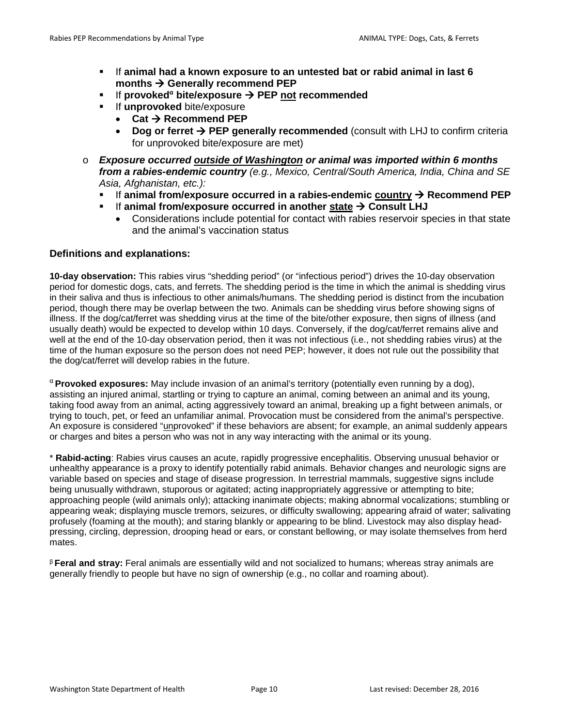- If **animal had a known exposure to an untested bat or rabid animal in last 6 months → Generally recommend PEP**
- If **provoked<sup>α</sup> bite/exposure PEP not recommended**
- **If unprovoked** bite/exposure
	- **Cat Recommend PEP**
	- **Dog or ferret**  $\rightarrow$  **PEP generally recommended** (consult with LHJ to confirm criteria for unprovoked bite/exposure are met)
- o *Exposure occurred outside of Washington or animal was imported within 6 months from a rabies-endemic country (e.g., Mexico, Central/South America, India, China and SE Asia, Afghanistan, etc.):*
	- If animal from/exposure occurred in a rabies-endemic country  $\rightarrow$  Recommend PEP
	- If animal from/exposure occurred in another state → Consult LHJ
		- Considerations include potential for contact with rabies reservoir species in that state and the animal's vaccination status

#### **Definitions and explanations:**

**10-day observation:** This rabies virus "shedding period" (or "infectious period") drives the 10-day observation period for domestic dogs, cats, and ferrets. The shedding period is the time in which the animal is shedding virus in their saliva and thus is infectious to other animals/humans. The shedding period is distinct from the incubation period, though there may be overlap between the two. Animals can be shedding virus before showing signs of illness. If the dog/cat/ferret was shedding virus at the time of the bite/other exposure, then signs of illness (and usually death) would be expected to develop within 10 days. Conversely, if the dog/cat/ferret remains alive and well at the end of the 10-day observation period, then it was not infectious (i.e., not shedding rabies virus) at the time of the human exposure so the person does not need PEP; however, it does not rule out the possibility that the dog/cat/ferret will develop rabies in the future.

<sup>α</sup>**Provoked exposures:** May include invasion of an animal's territory (potentially even running by a dog), assisting an injured animal, startling or trying to capture an animal, coming between an animal and its young, taking food away from an animal, acting aggressively toward an animal, breaking up a fight between animals, or trying to touch, pet, or feed an unfamiliar animal. Provocation must be considered from the animal's perspective. An exposure is considered "unprovoked" if these behaviors are absent; for example, an animal suddenly appears or charges and bites a person who was not in any way interacting with the animal or its young.

\* **Rabid-acting**: Rabies virus causes an acute, rapidly progressive encephalitis. Observing unusual behavior or unhealthy appearance is a proxy to identify potentially rabid animals. Behavior changes and neurologic signs are variable based on species and stage of disease progression. In terrestrial mammals, suggestive signs include being unusually withdrawn, stuporous or agitated; acting inappropriately aggressive or attempting to bite; approaching people (wild animals only); attacking inanimate objects; making abnormal vocalizations; stumbling or appearing weak; displaying muscle tremors, seizures, or difficulty swallowing; appearing afraid of water; salivating profusely (foaming at the mouth); and staring blankly or appearing to be blind. Livestock may also display headpressing, circling, depression, drooping head or ears, or constant bellowing, or may isolate themselves from herd mates.

<sup>β</sup>**Feral and stray:** Feral animals are essentially wild and not socialized to humans; whereas stray animals are generally friendly to people but have no sign of ownership (e.g., no collar and roaming about).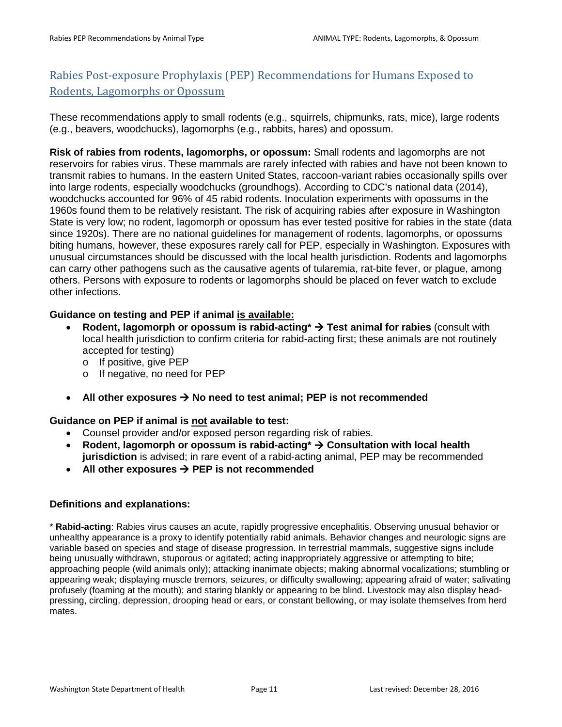# <span id="page-10-0"></span>Rabies Post-exposure Prophylaxis (PEP) Recommendations for Humans Exposed to Rodents, Lagomorphs or Opossum

These recommendations apply to small rodents (e.g., squirrels, chipmunks, rats, mice), large rodents (e.g., beavers, woodchucks), lagomorphs (e.g., rabbits, hares) and opossum.

**Risk of rabies from rodents, lagomorphs, or opossum:** Small rodents and lagomorphs are not reservoirs for rabies virus. These mammals are rarely infected with rabies and have not been known to transmit rabies to humans. In the eastern United States, raccoon-variant rabies occasionally spills over into large rodents, especially woodchucks (groundhogs). According to CDC's national data (2014), woodchucks accounted for 96% of 45 rabid rodents. Inoculation experiments with opossums in the 1960s found them to be relatively resistant. The risk of acquiring rabies after exposure in Washington State is very low; no rodent, lagomorph or opossum has ever tested positive for rabies in the state (data since 1920s). There are no national guidelines for management of rodents, lagomorphs, or opossums biting humans, however, these exposures rarely call for PEP, especially in Washington. Exposures with unusual circumstances should be discussed with the local health jurisdiction. Rodents and lagomorphs can carry other pathogens such as the causative agents of tularemia, rat-bite fever, or plague, among others. Persons with exposure to rodents or lagomorphs should be placed on fever watch to exclude other infections.

### **Guidance on testing and PEP if animal is available:**

- **Rodent, lagomorph or opossum is rabid-acting\* Test animal for rabies** (consult with local health jurisdiction to confirm criteria for rabid-acting first; these animals are not routinely accepted for testing)
	- o If positive, give PEP
	- o If negative, no need for PEP
- All other exposures  $\rightarrow$  No need to test animal; PEP is not recommended

#### **Guidance on PEP if animal is not available to test:**

- Counsel provider and/or exposed person regarding risk of rabies.
- Rodent, lagomorph or opossum is rabid-acting<sup>\*</sup>  $\rightarrow$  Consultation with local health **jurisdiction** is advised; in rare event of a rabid-acting animal, PEP may be recommended
- All other exposures  $\rightarrow$  PEP is not recommended

#### **Definitions and explanations:**

\* **Rabid-acting**: Rabies virus causes an acute, rapidly progressive encephalitis. Observing unusual behavior or unhealthy appearance is a proxy to identify potentially rabid animals. Behavior changes and neurologic signs are variable based on species and stage of disease progression. In terrestrial mammals, suggestive signs include being unusually withdrawn, stuporous or agitated; acting inappropriately aggressive or attempting to bite; approaching people (wild animals only); attacking inanimate objects; making abnormal vocalizations; stumbling or appearing weak; displaying muscle tremors, seizures, or difficulty swallowing; appearing afraid of water; salivating profusely (foaming at the mouth); and staring blankly or appearing to be blind. Livestock may also display headpressing, circling, depression, drooping head or ears, or constant bellowing, or may isolate themselves from herd mates.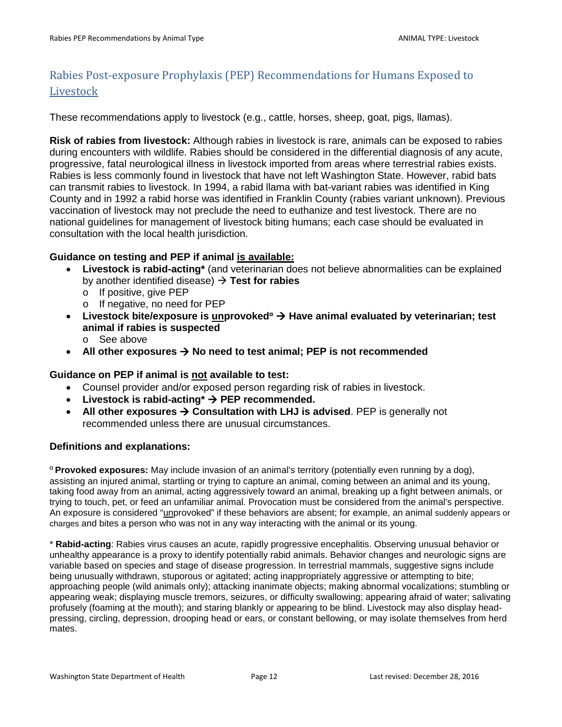# <span id="page-11-0"></span>Rabies Post-exposure Prophylaxis (PEP) Recommendations for Humans Exposed to Livestock

These recommendations apply to livestock (e.g., cattle, horses, sheep, goat, pigs, llamas).

**Risk of rabies from livestock:** Although rabies in livestock is rare, animals can be exposed to rabies during encounters with wildlife. Rabies should be considered in the differential diagnosis of any acute, progressive, fatal neurological illness in livestock imported from areas where terrestrial rabies exists. Rabies is less commonly found in livestock that have not left Washington State. However, rabid bats can transmit rabies to livestock. In 1994, a rabid llama with bat-variant rabies was identified in King County and in 1992 a rabid horse was identified in Franklin County (rabies variant unknown). Previous vaccination of livestock may not preclude the need to euthanize and test livestock. There are no national guidelines for management of livestock biting humans; each case should be evaluated in consultation with the local health jurisdiction.

#### **Guidance on testing and PEP if animal is available:**

- **Livestock is rabid-acting\*** (and veterinarian does not believe abnormalities can be explained by another identified disease) **Test for rabies**
	- o If positive, give PEP
	- o If negative, no need for PEP
- **Livestock bite/exposure is unprovoked<sup>α</sup> Have animal evaluated by veterinarian; test animal if rabies is suspected**
	- o See above
- All other exposures  $\rightarrow$  No need to test animal; PEP is not recommended

#### **Guidance on PEP if animal is not available to test:**

- Counsel provider and/or exposed person regarding risk of rabies in livestock.
- Livestock is rabid-acting<sup>\*</sup>  $\rightarrow$  PEP recommended.
- All other exposures  $\rightarrow$  Consultation with LHJ is advised. PEP is generally not recommended unless there are unusual circumstances.

#### **Definitions and explanations:**

<sup>α</sup>**Provoked exposures:** May include invasion of an animal's territory (potentially even running by a dog), assisting an injured animal, startling or trying to capture an animal, coming between an animal and its young, taking food away from an animal, acting aggressively toward an animal, breaking up a fight between animals, or trying to touch, pet, or feed an unfamiliar animal. Provocation must be considered from the animal's perspective. An exposure is considered "unprovoked" if these behaviors are absent; for example, an animal suddenly appears or charges and bites a person who was not in any way interacting with the animal or its young.

\* **Rabid-acting**: Rabies virus causes an acute, rapidly progressive encephalitis. Observing unusual behavior or unhealthy appearance is a proxy to identify potentially rabid animals. Behavior changes and neurologic signs are variable based on species and stage of disease progression. In terrestrial mammals, suggestive signs include being unusually withdrawn, stuporous or agitated; acting inappropriately aggressive or attempting to bite; approaching people (wild animals only); attacking inanimate objects; making abnormal vocalizations; stumbling or appearing weak; displaying muscle tremors, seizures, or difficulty swallowing; appearing afraid of water; salivating profusely (foaming at the mouth); and staring blankly or appearing to be blind. Livestock may also display headpressing, circling, depression, drooping head or ears, or constant bellowing, or may isolate themselves from herd mates.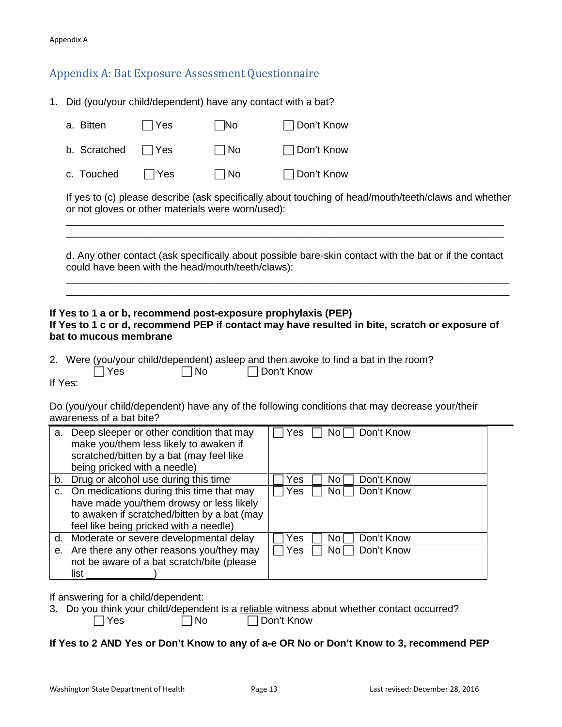## <span id="page-12-0"></span>Appendix A: Bat Exposure Assessment Questionnaire

1. Did (you/your child/dependent) have any contact with a bat?

| a. Bitten    | $\Box$ Yes | l No      | $\Box$ Don't Know |
|--------------|------------|-----------|-------------------|
| b. Scratched | l IYes     | $\Box$ No | $\Box$ Don't Know |
| c. Touched   | l Yes      | $\Box$ No | $\Box$ Don't Know |

If yes to (c) please describe (ask specifically about touching of head/mouth/teeth/claws and whether or not gloves or other materials were worn/used):

\_\_\_\_\_\_\_\_\_\_\_\_\_\_\_\_\_\_\_\_\_\_\_\_\_\_\_\_\_\_\_\_\_\_\_\_\_\_\_\_\_\_\_\_\_\_\_\_\_\_\_\_\_\_\_\_\_\_\_\_\_\_\_\_\_\_\_\_\_\_\_\_\_\_\_\_\_\_ \_\_\_\_\_\_\_\_\_\_\_\_\_\_\_\_\_\_\_\_\_\_\_\_\_\_\_\_\_\_\_\_\_\_\_\_\_\_\_\_\_\_\_\_\_\_\_\_\_\_\_\_\_\_\_\_\_\_\_\_\_\_\_\_\_\_\_\_\_\_\_\_\_\_\_\_\_\_

d. Any other contact (ask specifically about possible bare-skin contact with the bat or if the contact could have been with the head/mouth/teeth/claws):

\_\_\_\_\_\_\_\_\_\_\_\_\_\_\_\_\_\_\_\_\_\_\_\_\_\_\_\_\_\_\_\_\_\_\_\_\_\_\_\_\_\_\_\_\_\_\_\_\_\_\_\_\_\_\_\_\_\_\_\_\_\_\_\_\_\_\_\_\_\_\_\_\_\_\_\_\_\_\_ \_\_\_\_\_\_\_\_\_\_\_\_\_\_\_\_\_\_\_\_\_\_\_\_\_\_\_\_\_\_\_\_\_\_\_\_\_\_\_\_\_\_\_\_\_\_\_\_\_\_\_\_\_\_\_\_\_\_\_\_\_\_\_\_\_\_\_\_\_\_\_\_\_\_\_\_\_\_\_

#### **If Yes to 1 a or b, recommend post-exposure prophylaxis (PEP)**

#### **If Yes to 1 c or d, recommend PEP if contact may have resulted in bite, scratch or exposure of bat to mucous membrane**

|            | 2. Were (you/your child/dependent) asleep and then awoke to find a bat in the room? |              |  |  |
|------------|-------------------------------------------------------------------------------------|--------------|--|--|
| $\Box$ Yes | $\Box$ No                                                                           | □ Don't Know |  |  |

If Yes:

Do (you/your child/dependent) have any of the following conditions that may decrease your/their awareness of a bat bite?

| a. | Deep sleeper or other condition that may<br>make you/them less likely to awaken if<br>scratched/bitten by a bat (may feel like<br>being pricked with a needle) | Don't Know<br>No<br><b>Yes</b> |
|----|----------------------------------------------------------------------------------------------------------------------------------------------------------------|--------------------------------|
|    | b. Drug or alcohol use during this time                                                                                                                        | Don't Know<br>Yes<br>Νo        |
| C. | On medications during this time that may                                                                                                                       | Don't Know<br>No l<br>Yes      |
|    | have made you/them drowsy or less likely                                                                                                                       |                                |
|    | to awaken if scratched/bitten by a bat (may                                                                                                                    |                                |
|    | feel like being pricked with a needle)                                                                                                                         |                                |
| d. | Moderate or severe developmental delay                                                                                                                         | Don't Know<br>No.<br>Yes       |
|    | e. Are there any other reasons you/they may                                                                                                                    | Don't Know<br>No l<br>Yes      |
|    | not be aware of a bat scratch/bite (please                                                                                                                     |                                |
|    | list                                                                                                                                                           |                                |

If answering for a child/dependent:

|            | 3. Do you think your child/dependent is a reliable witness about whether contact occurred? |              |  |
|------------|--------------------------------------------------------------------------------------------|--------------|--|
| $\Box$ Yes | $\Box$ No                                                                                  | □ Don't Know |  |

**If Yes to 2 AND Yes or Don't Know to any of a-e OR No or Don't Know to 3, recommend PEP**